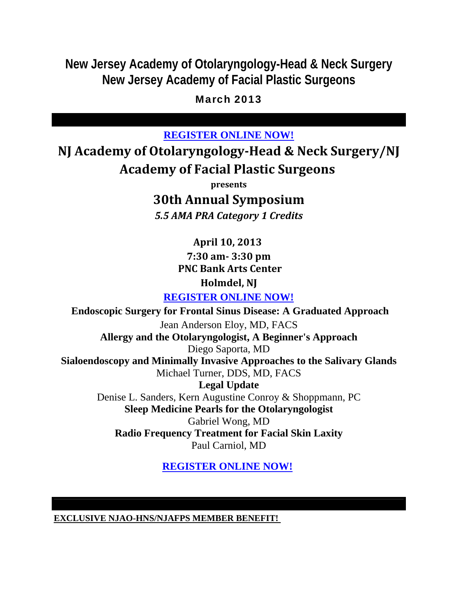**New Jersey Academy of Otolaryngology-Head & Neck Surgery New Jersey Academy of Facial Plastic Surgeons**

## March 2013

## **REGISTER ONLINE NOW!**

**NJ Academy of OtolaryngologyHead & Neck Surgery/NJ Academy of Facial Plastic Surgeons**

**presents**

# **30th Annual Symposium**

*5.5 AMA PRA Category 1 Credits*

**April 10, 2013 7:30 am 3:30 pm PNC Bank Arts Center Holmdel, NJ**

**REGISTER ONLINE NOW!**

 **Endoscopic Surgery for Frontal Sinus Disease: A Graduated Approach** Jean Anderson Eloy, MD, FACS **Allergy and the Otolaryngologist, A Beginner's Approach** Diego Saporta, MD **Sialoendoscopy and Minimally Invasive Approaches to the Salivary Glands** Michael Turner, DDS, MD, FACS **Legal Update** Denise L. Sanders, Kern Augustine Conroy & Shoppmann, PC **Sleep Medicine Pearls for the Otolaryngologist** Gabriel Wong, MD **Radio Frequency Treatment for Facial Skin Laxity** Paul Carniol, MD

**REGISTER ONLINE NOW!** 

**EXCLUSIVE NJAO-HNS/NJAFPS MEMBER BENEFIT!**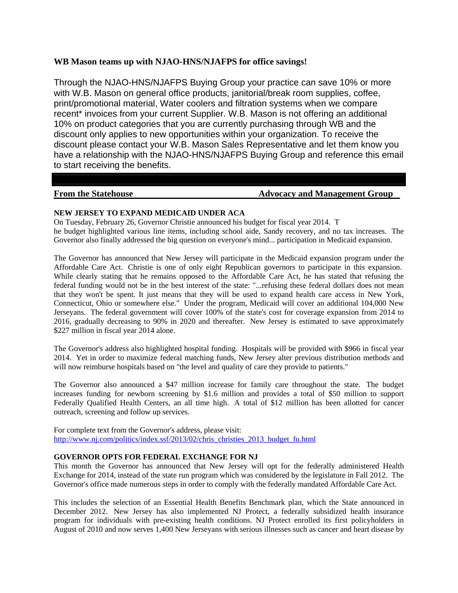### **WB Mason teams up with NJAO-HNS/NJAFPS for office savings!**

Through the NJAO-HNS/NJAFPS Buying Group your practice can save 10% or more with W.B. Mason on general office products, janitorial/break room supplies, coffee, print/promotional material, Water coolers and filtration systems when we compare recent<sup>\*</sup> invoices from your current Supplier. W.B. Mason is not offering an additional 10% on product categories that you are currently purchasing through WB and the discount only applies to new opportunities within your organization. To receive the discount please contact your W.B. Mason Sales Representative and let them know you have a relationship with the NJAO-HNS/NJAFPS Buying Group and reference this email to start receiving the benefits.

#### **From the Statehouse The Statehouse Advocacy and Management Group**

#### **NEW JERSEY TO EXPAND MEDICAID UNDER ACA**

On Tuesday, February 26, Governor Christie announced his budget for fiscal year 2014. T he budget highlighted various line items, including school aide, Sandy recovery, and no tax increases. The Governor also finally addressed the big question on everyone's mind... participation in Medicaid expansion.

The Governor has announced that New Jersey will participate in the Medicaid expansion program under the Affordable Care Act. Christie is one of only eight Republican governors to participate in this expansion. While clearly stating that he remains opposed to the Affordable Care Act, he has stated that refusing the federal funding would not be in the best interest of the state: "...refusing these federal dollars does not mean that they won't be spent. It just means that they will be used to expand health care access in New York, Connecticut, Ohio or somewhere else." Under the program, Medicaid will cover an additional 104,000 New Jerseyans. The federal government will cover 100% of the state's cost for coverage expansion from 2014 to 2016, gradually decreasing to 90% in 2020 and thereafter. New Jersey is estimated to save approximately \$227 million in fiscal year 2014 alone.

The Governor's address also highlighted hospital funding. Hospitals will be provided with \$966 in fiscal year 2014. Yet in order to maximize federal matching funds, New Jersey alter previous distribution methods and will now reimburse hospitals based on "the level and quality of care they provide to patients."

The Governor also announced a \$47 million increase for family care throughout the state. The budget increases funding for newborn screening by \$1.6 million and provides a total of \$50 million to support Federally Qualified Health Centers, an all time high. A total of \$12 million has been allotted for cancer outreach, screening and follow up services.

For complete text from the Governor's address, please visit: http://www.nj.com/politics/index.ssf/2013/02/chris\_christies\_2013\_budget\_fu.html

#### **GOVERNOR OPTS FOR FEDERAL EXCHANGE FOR NJ**

This month the Governor has announced that New Jersey will opt for the federally administered Health Exchange for 2014, instead of the state run program which was considered by the legislature in Fall 2012. The Governor's office made numerous steps in order to comply with the federally mandated Affordable Care Act.

This includes the selection of an Essential Health Benefits Benchmark plan, which the State announced in December 2012. New Jersey has also implemented NJ Protect, a federally subsidized health insurance program for individuals with pre-existing health conditions. NJ Protect enrolled its first policyholders in August of 2010 and now serves 1,400 New Jerseyans with serious illnesses such as cancer and heart disease by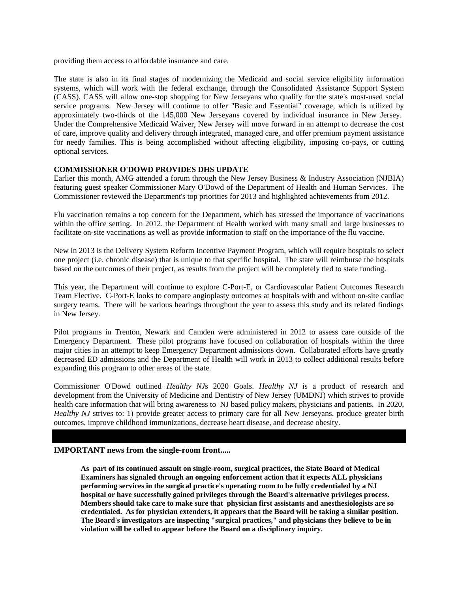providing them access to affordable insurance and care.

The state is also in its final stages of modernizing the Medicaid and social service eligibility information systems, which will work with the federal exchange, through the Consolidated Assistance Support System (CASS). CASS will allow one-stop shopping for New Jerseyans who qualify for the state's most-used social service programs. New Jersey will continue to offer "Basic and Essential" coverage, which is utilized by approximately two-thirds of the 145,000 New Jerseyans covered by individual insurance in New Jersey. Under the Comprehensive Medicaid Waiver, New Jersey will move forward in an attempt to decrease the cost of care, improve quality and delivery through integrated, managed care, and offer premium payment assistance for needy families. This is being accomplished without affecting eligibility, imposing co-pays, or cutting optional services.

#### **COMMISSIONER O'DOWD PROVIDES DHS UPDATE**

Earlier this month, AMG attended a forum through the New Jersey Business & Industry Association (NJBIA) featuring guest speaker Commissioner Mary O'Dowd of the Department of Health and Human Services. The Commissioner reviewed the Department's top priorities for 2013 and highlighted achievements from 2012.

Flu vaccination remains a top concern for the Department, which has stressed the importance of vaccinations within the office setting. In 2012, the Department of Health worked with many small and large businesses to facilitate on-site vaccinations as well as provide information to staff on the importance of the flu vaccine.

New in 2013 is the Delivery System Reform Incentive Payment Program, which will require hospitals to select one project (i.e. chronic disease) that is unique to that specific hospital. The state will reimburse the hospitals based on the outcomes of their project, as results from the project will be completely tied to state funding.

This year, the Department will continue to explore C-Port-E, or Cardiovascular Patient Outcomes Research Team Elective. C-Port-E looks to compare angioplasty outcomes at hospitals with and without on-site cardiac surgery teams. There will be various hearings throughout the year to assess this study and its related findings in New Jersey.

Pilot programs in Trenton, Newark and Camden were administered in 2012 to assess care outside of the Emergency Department. These pilot programs have focused on collaboration of hospitals within the three major cities in an attempt to keep Emergency Department admissions down. Collaborated efforts have greatly decreased ED admissions and the Department of Health will work in 2013 to collect additional results before expanding this program to other areas of the state.

Commissioner O'Dowd outlined *Healthy NJ*s 2020 Goals. *Healthy NJ* is a product of research and development from the University of Medicine and Dentistry of New Jersey (UMDNJ) which strives to provide health care information that will bring awareness to NJ based policy makers, physicians and patients. In 2020, *Healthy NJ* strives to: 1) provide greater access to primary care for all New Jerseyans, produce greater birth outcomes, improve childhood immunizations, decrease heart disease, and decrease obesity.

#### **IMPORTANT news from the single-room front.....**

**As part of its continued assault on single-room, surgical practices, the State Board of Medical Examiners has signaled through an ongoing enforcement action that it expects ALL physicians performing services in the surgical practice's operating room to be fully credentialed by a NJ hospital or have successfully gained privileges through the Board's alternative privileges process. Members should take care to make sure that physician first assistants and anesthesiologists are so credentialed. As for physician extenders, it appears that the Board will be taking a similar position. The Board's investigators are inspecting "surgical practices," and physicians they believe to be in violation will be called to appear before the Board on a disciplinary inquiry.**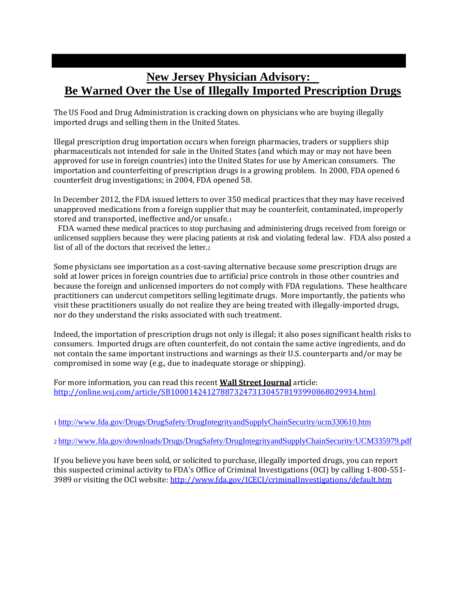# **New Jersey Physician Advisory: Be Warned Over the Use of Illegally Imported Prescription Drugs**

The US Food and Drug Administration is cracking down on physicians who are buying illegally imported drugs and selling them in the United States.

Illegal prescription drug importation occurs when foreign pharmacies, traders or suppliers ship pharmaceuticals not intended for sale in the United States (and which may or may not have been approved for use in foreign countries) into the United States for use by American consumers. The importation and counterfeiting of prescription drugs is a growing problem. In 2000, FDA opened 6 counterfeit drug investigations; in 2004, FDA opened 58.

In December 2012, the FDA issued letters to over 350 medical practices that they may have received unapproved medications from a foreign supplier that may be counterfeit, contaminated, improperly stored and transported, ineffective and/or unsafe.1

 FDA warned these medical practices to stop purchasing and administering drugs received from foreign or unlicensed suppliers because they were placing patients at risk and violating federal law. FDA also posted a list of all of the doctors that received the letter.

Some physicians see importation as a cost‐saving alternative because some prescription drugs are sold at lower prices in foreign countries due to artificial price controls in those other countries and because the foreign and unlicensed importers do not comply with FDA regulations. These healthcare practitioners can undercut competitors selling legitimate drugs. More importantly, the patients who visit these practitioners usually do not realize they are being treated with illegally‐imported drugs, nor do they understand the risks associated with such treatment.

Indeed, the importation of prescription drugs not only is illegal; it also poses significant health risks to consumers. Imported drugs are often counterfeit, do not contain the same active ingredients, and do not contain the same important instructions and warnings as their U.S. counterparts and/or may be compromised in some way (e.g., due to inadequate storage or shipping).

For more information, you can read this recent **Wall Street Journal** article: http://online.wsj.com/article/SB10001424127887324731304578193990868029934.html.

If you believe you have been sold, or solicited to purchase, illegally imported drugs, you can report this suspected criminal activity to FDA's Office of Criminal Investigations (OCI) by calling 1‐800‐551‐ 3989 or visiting the OCI website: http://www.fda.gov/ICECI/criminalInvestigations/default.htm

<sup>1</sup> http://www.fda.gov/Drugs/DrugSafety/DrugIntegrityandSupplyChainSecurity/ucm330610.htm

<sup>2</sup> http://www.fda.gov/downloads/Drugs/DrugSafety/DrugIntegrityandSupplyChainSecurity/UCM335979.pdf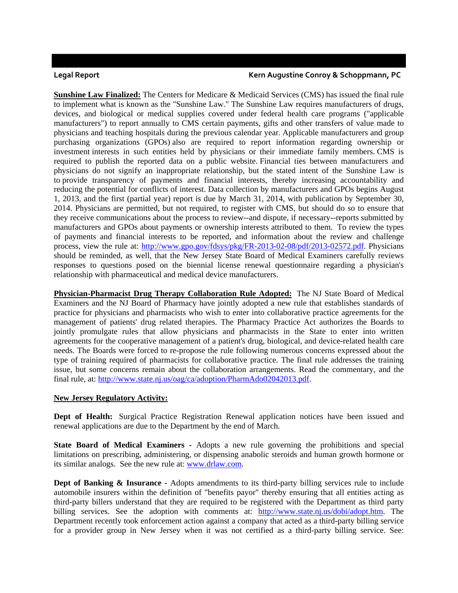#### **Legal Report Kern Augustine Conroy & Schoppmann, PC**

**Sunshine Law Finalized:** The Centers for Medicare & Medicaid Services (CMS) has issued the final rule to implement what is known as the "Sunshine Law." The Sunshine Law requires manufacturers of drugs, devices, and biological or medical supplies covered under federal health care programs ("applicable manufacturers") to report annually to CMS certain payments, gifts and other transfers of value made to physicians and teaching hospitals during the previous calendar year. Applicable manufacturers and group purchasing organizations (GPOs) also are required to report information regarding ownership or investment interests in such entities held by physicians or their immediate family members. CMS is required to publish the reported data on a public website. Financial ties between manufacturers and physicians do not signify an inappropriate relationship, but the stated intent of the Sunshine Law is to provide transparency of payments and financial interests, thereby increasing accountability and reducing the potential for conflicts of interest. Data collection by manufacturers and GPOs begins August 1, 2013, and the first (partial year) report is due by March 31, 2014, with publication by September 30, 2014. Physicians are permitted, but not required, to register with CMS, but should do so to ensure that they receive communications about the process to review--and dispute, if necessary--reports submitted by manufacturers and GPOs about payments or ownership interests attributed to them. To review the types of payments and financial interests to be reported, and information about the review and challenge process, view the rule at: http://www.gpo.gov/fdsys/pkg/FR-2013-02-08/pdf/2013-02572.pdf. Physicians should be reminded, as well, that the New Jersey State Board of Medical Examiners carefully reviews responses to questions posed on the biennial license renewal questionnaire regarding a physician's relationship with pharmaceutical and medical device manufacturers.

**Physician-Pharmacist Drug Therapy Collaboration Rule Adopted:** The NJ State Board of Medical Examiners and the NJ Board of Pharmacy have jointly adopted a new rule that establishes standards of practice for physicians and pharmacists who wish to enter into collaborative practice agreements for the management of patients' drug related therapies. The Pharmacy Practice Act authorizes the Boards to jointly promulgate rules that allow physicians and pharmacists in the State to enter into written agreements for the cooperative management of a patient's drug, biological, and device-related health care needs. The Boards were forced to re-propose the rule following numerous concerns expressed about the type of training required of pharmacists for collaborative practice. The final rule addresses the training issue, but some concerns remain about the collaboration arrangements. Read the commentary, and the final rule, at: http://www.state.nj.us/oag/ca/adoption/PharmAdo02042013.pdf.

### **New Jersey Regulatory Activity:**

**Dept of Health:** Surgical Practice Registration Renewal application notices have been issued and renewal applications are due to the Department by the end of March.

**State Board of Medical Examiners -** Adopts a new rule governing the prohibitions and special limitations on prescribing, administering, or dispensing anabolic steroids and human growth hormone or its similar analogs. See the new rule at: www.drlaw.com.

**Dept of Banking & Insurance -** Adopts amendments to its third-party billing services rule to include automobile insurers within the definition of "benefits payor" thereby ensuring that all entities acting as third-party billers understand that they are required to be registered with the Department as third party billing services. See the adoption with comments at: http://www.state.nj.us/dobi/adopt.htm. The Department recently took enforcement action against a company that acted as a third-party billing service for a provider group in New Jersey when it was not certified as a third-party billing service. See: